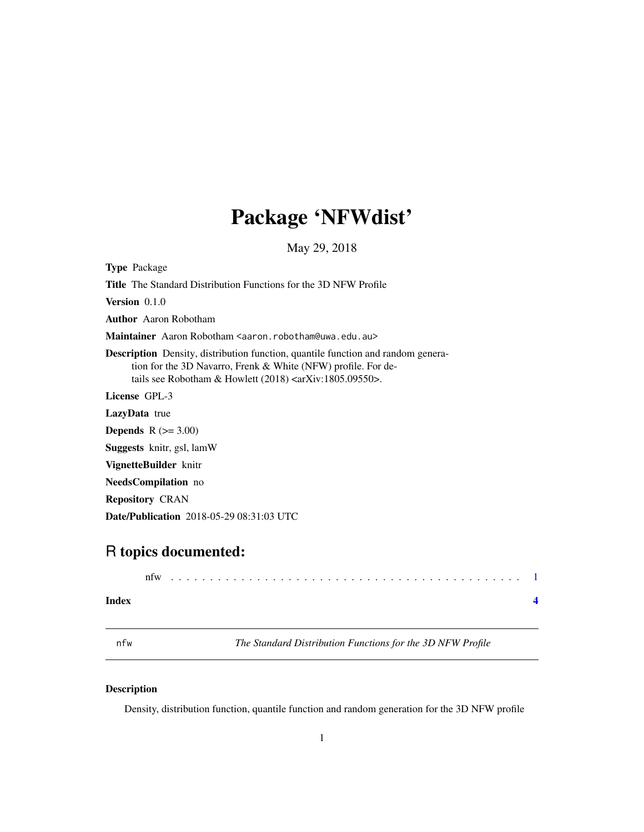## <span id="page-0-0"></span>Package 'NFWdist'

May 29, 2018

Type Package

Title The Standard Distribution Functions for the 3D NFW Profile

Version 0.1.0

Author Aaron Robotham

Maintainer Aaron Robotham <aaron.robotham@uwa.edu.au>

Description Density, distribution function, quantile function and random generation for the 3D Navarro, Frenk & White (NFW) profile. For details see Robotham & Howlett (2018) <arXiv:1805.09550>.

License GPL-3

LazyData true

**Depends**  $R$  ( $>= 3.00$ )

Suggests knitr, gsl, lamW

VignetteBuilder knitr

NeedsCompilation no

Repository CRAN

Date/Publication 2018-05-29 08:31:03 UTC

### R topics documented:

|       | nfw |  |  |  |  |  |  |  |  |  |  |  |  |  |  |  |  |  |  |  |  |
|-------|-----|--|--|--|--|--|--|--|--|--|--|--|--|--|--|--|--|--|--|--|--|
| Index |     |  |  |  |  |  |  |  |  |  |  |  |  |  |  |  |  |  |  |  |  |

nfw *The Standard Distribution Functions for the 3D NFW Profile*

#### Description

Density, distribution function, quantile function and random generation for the 3D NFW profile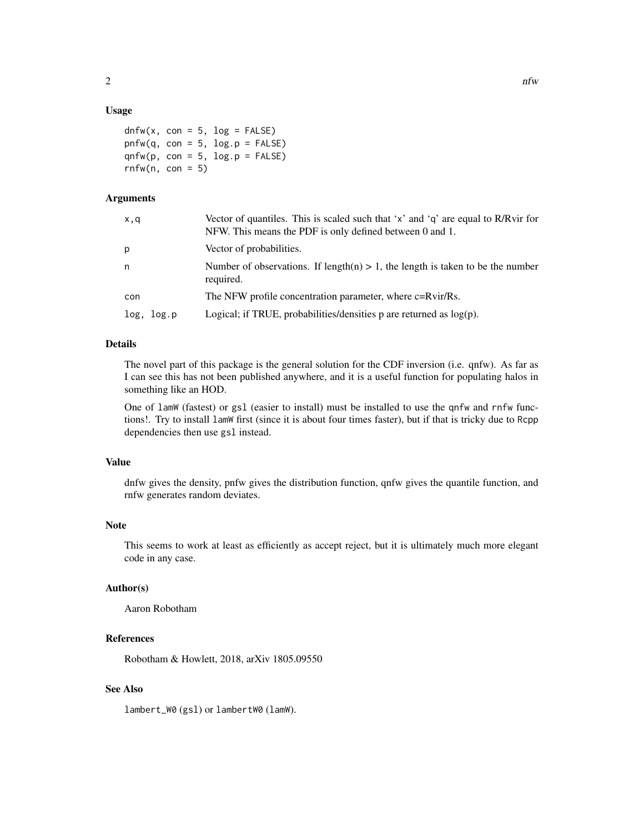#### Usage

```
dnfw(x, con = 5, log = FALSE)pnfw(q, con = 5, log.p = FALSE)qnfw(p, con = 5, log.p = FALSE)rnfw(n, con = 5)
```
#### Arguments

| x,q        | Vector of quantiles. This is scaled such that 'x' and 'q' are equal to R/Rvir for<br>NFW. This means the PDF is only defined between 0 and 1. |
|------------|-----------------------------------------------------------------------------------------------------------------------------------------------|
| p          | Vector of probabilities.                                                                                                                      |
| n          | Number of observations. If length(n) $> 1$ , the length is taken to be the number<br>required.                                                |
| con        | The NFW profile concentration parameter, where c=Rvir/Rs.                                                                                     |
| log, log.p | Logical; if TRUE, probabilities/densities $p$ are returned as $log(p)$ .                                                                      |
|            |                                                                                                                                               |

#### Details

The novel part of this package is the general solution for the CDF inversion (i.e. qnfw). As far as I can see this has not been published anywhere, and it is a useful function for populating halos in something like an HOD.

One of lamW (fastest) or gsl (easier to install) must be installed to use the qnfw and rnfw functions!. Try to install lamW first (since it is about four times faster), but if that is tricky due to Rcpp dependencies then use gsl instead.

#### Value

dnfw gives the density, pnfw gives the distribution function, qnfw gives the quantile function, and rnfw generates random deviates.

#### Note

This seems to work at least as efficiently as accept reject, but it is ultimately much more elegant code in any case.

#### Author(s)

Aaron Robotham

#### References

Robotham & Howlett, 2018, arXiv 1805.09550

#### See Also

lambert\_W0 (gsl) or lambertW0 (lamW).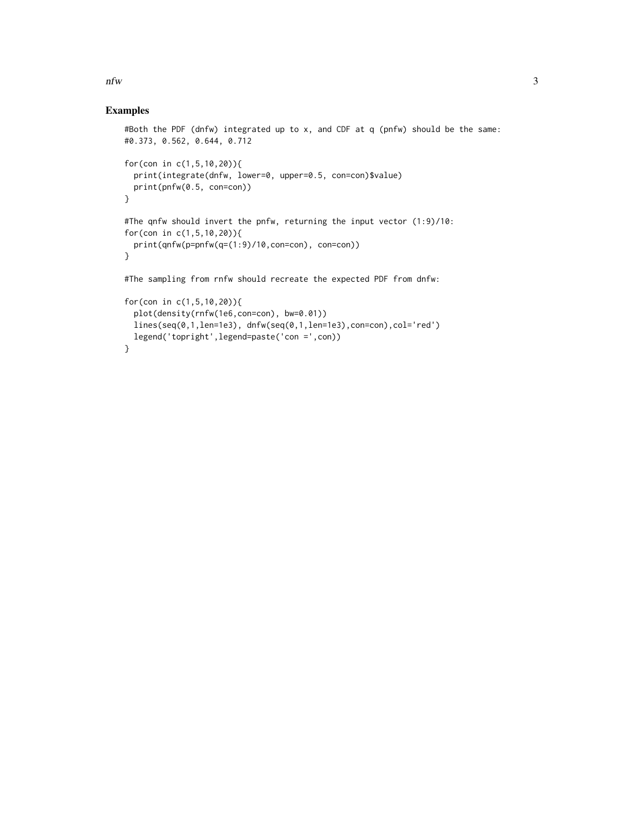$n$  if  $\frac{1}{3}$ 

#### Examples

```
#Both the PDF (dnfw) integrated up to x, and CDF at q (pnfw) should be the same:
#0.373, 0.562, 0.644, 0.712
for(con in c(1,5,10,20)){
  print(integrate(dnfw, lower=0, upper=0.5, con=con)$value)
  print(pnfw(0.5, con=con))
}
#The qnfw should invert the pnfw, returning the input vector (1:9)/10:
for(con in c(1,5,10,20)){
  print(qnfw(p=pnfw(q=(1:9)/10,con=con), con=con))
}
#The sampling from rnfw should recreate the expected PDF from dnfw:
for(con in c(1,5,10,20)){
  plot(density(rnfw(1e6,con=con), bw=0.01))
  lines(seq(0,1,len=1e3), dnfw(seq(0,1,len=1e3),con=con),col='red')
  legend('topright',legend=paste('con =',con))
}
```